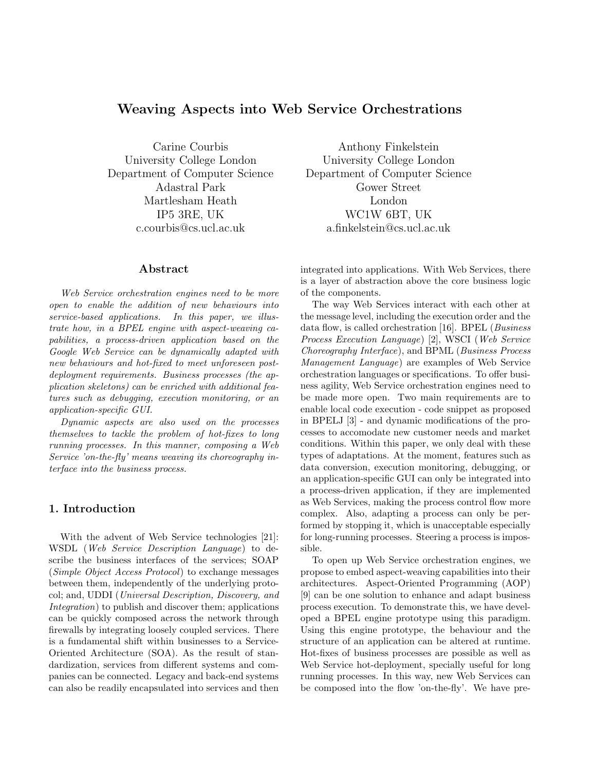# Weaving Aspects into Web Service Orchestrations

Carine Courbis University College London Department of Computer Science Adastral Park Martlesham Heath IP5 3RE, UK c.courbis@cs.ucl.ac.uk

### Abstract

Web Service orchestration engines need to be more open to enable the addition of new behaviours into service-based applications. In this paper, we illustrate how, in a BPEL engine with aspect-weaving capabilities, a process-driven application based on the Google Web Service can be dynamically adapted with new behaviours and hot-fixed to meet unforeseen postdeployment requirements. Business processes (the application skeletons) can be enriched with additional features such as debugging, execution monitoring, or an application-specific GUI.

Dynamic aspects are also used on the processes themselves to tackle the problem of hot-fixes to long running processes. In this manner, composing a Web Service 'on-the-fly' means weaving its choreography interface into the business process.

# 1. Introduction

With the advent of Web Service technologies [21]: WSDL (Web Service Description Language) to describe the business interfaces of the services; SOAP (Simple Object Access Protocol) to exchange messages between them, independently of the underlying protocol; and, UDDI (Universal Description, Discovery, and Integration) to publish and discover them; applications can be quickly composed across the network through firewalls by integrating loosely coupled services. There is a fundamental shift within businesses to a Service-Oriented Architecture (SOA). As the result of standardization, services from different systems and companies can be connected. Legacy and back-end systems can also be readily encapsulated into services and then

Anthony Finkelstein University College London Department of Computer Science Gower Street London WC1W 6BT, UK a.finkelstein@cs.ucl.ac.uk

integrated into applications. With Web Services, there is a layer of abstraction above the core business logic of the components.

The way Web Services interact with each other at the message level, including the execution order and the data flow, is called orchestration [16]. BPEL (Business Process Execution Language) [2], WSCI (Web Service Choreography Interface), and BPML (Business Process Management Language) are examples of Web Service orchestration languages or specifications. To offer business agility, Web Service orchestration engines need to be made more open. Two main requirements are to enable local code execution - code snippet as proposed in BPELJ [3] - and dynamic modifications of the processes to accomodate new customer needs and market conditions. Within this paper, we only deal with these types of adaptations. At the moment, features such as data conversion, execution monitoring, debugging, or an application-specific GUI can only be integrated into a process-driven application, if they are implemented as Web Services, making the process control flow more complex. Also, adapting a process can only be performed by stopping it, which is unacceptable especially for long-running processes. Steering a process is impossible.

To open up Web Service orchestration engines, we propose to embed aspect-weaving capabilities into their architectures. Aspect-Oriented Programming (AOP) [9] can be one solution to enhance and adapt business process execution. To demonstrate this, we have developed a BPEL engine prototype using this paradigm. Using this engine prototype, the behaviour and the structure of an application can be altered at runtime. Hot-fixes of business processes are possible as well as Web Service hot-deployment, specially useful for long running processes. In this way, new Web Services can be composed into the flow 'on-the-fly'. We have pre-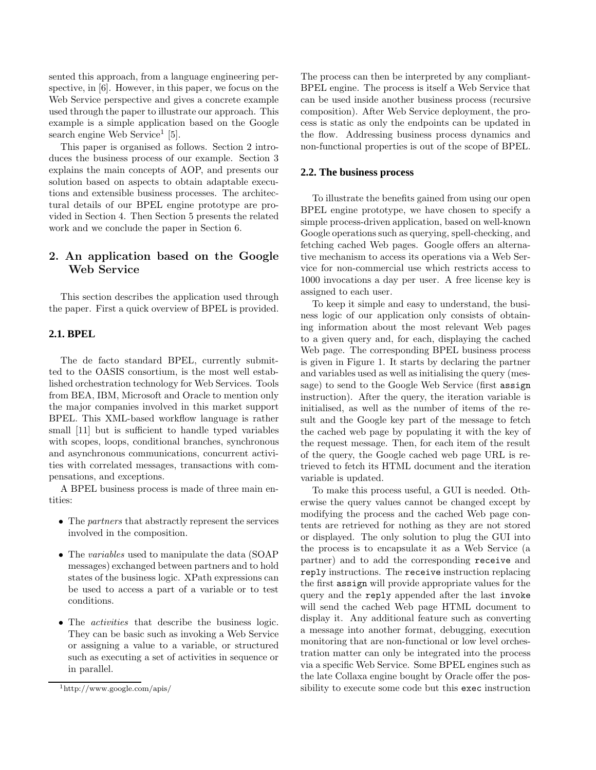sented this approach, from a language engineering perspective, in [6]. However, in this paper, we focus on the Web Service perspective and gives a concrete example used through the paper to illustrate our approach. This example is a simple application based on the Google search engine Web Service<sup>1</sup> [5].

This paper is organised as follows. Section 2 introduces the business process of our example. Section 3 explains the main concepts of AOP, and presents our solution based on aspects to obtain adaptable executions and extensible business processes. The architectural details of our BPEL engine prototype are provided in Section 4. Then Section 5 presents the related work and we conclude the paper in Section 6.

# 2. An application based on the Google Web Service

This section describes the application used through the paper. First a quick overview of BPEL is provided.

## **2.1. BPEL**

The de facto standard BPEL, currently submitted to the OASIS consortium, is the most well established orchestration technology for Web Services. Tools from BEA, IBM, Microsoft and Oracle to mention only the major companies involved in this market support BPEL. This XML-based workflow language is rather small [11] but is sufficient to handle typed variables with scopes, loops, conditional branches, synchronous and asynchronous communications, concurrent activities with correlated messages, transactions with compensations, and exceptions.

A BPEL business process is made of three main entities:

- The *partners* that abstractly represent the services involved in the composition.
- The *variables* used to manipulate the data (SOAP messages) exchanged between partners and to hold states of the business logic. XPath expressions can be used to access a part of a variable or to test conditions.
- The *activities* that describe the business logic. They can be basic such as invoking a Web Service or assigning a value to a variable, or structured such as executing a set of activities in sequence or in parallel.

The process can then be interpreted by any compliant-BPEL engine. The process is itself a Web Service that can be used inside another business process (recursive composition). After Web Service deployment, the process is static as only the endpoints can be updated in the flow. Addressing business process dynamics and non-functional properties is out of the scope of BPEL.

### **2.2. The business process**

To illustrate the benefits gained from using our open BPEL engine prototype, we have chosen to specify a simple process-driven application, based on well-known Google operations such as querying, spell-checking, and fetching cached Web pages. Google offers an alternative mechanism to access its operations via a Web Service for non-commercial use which restricts access to 1000 invocations a day per user. A free license key is assigned to each user.

To keep it simple and easy to understand, the business logic of our application only consists of obtaining information about the most relevant Web pages to a given query and, for each, displaying the cached Web page. The corresponding BPEL business process is given in Figure 1. It starts by declaring the partner and variables used as well as initialising the query (message) to send to the Google Web Service (first assign instruction). After the query, the iteration variable is initialised, as well as the number of items of the result and the Google key part of the message to fetch the cached web page by populating it with the key of the request message. Then, for each item of the result of the query, the Google cached web page URL is retrieved to fetch its HTML document and the iteration variable is updated.

To make this process useful, a GUI is needed. Otherwise the query values cannot be changed except by modifying the process and the cached Web page contents are retrieved for nothing as they are not stored or displayed. The only solution to plug the GUI into the process is to encapsulate it as a Web Service (a partner) and to add the corresponding receive and reply instructions. The receive instruction replacing the first assign will provide appropriate values for the query and the reply appended after the last invoke will send the cached Web page HTML document to display it. Any additional feature such as converting a message into another format, debugging, execution monitoring that are non-functional or low level orchestration matter can only be integrated into the process via a specific Web Service. Some BPEL engines such as the late Collaxa engine bought by Oracle offer the possibility to execute some code but this exec instruction

<sup>1</sup>http://www.google.com/apis/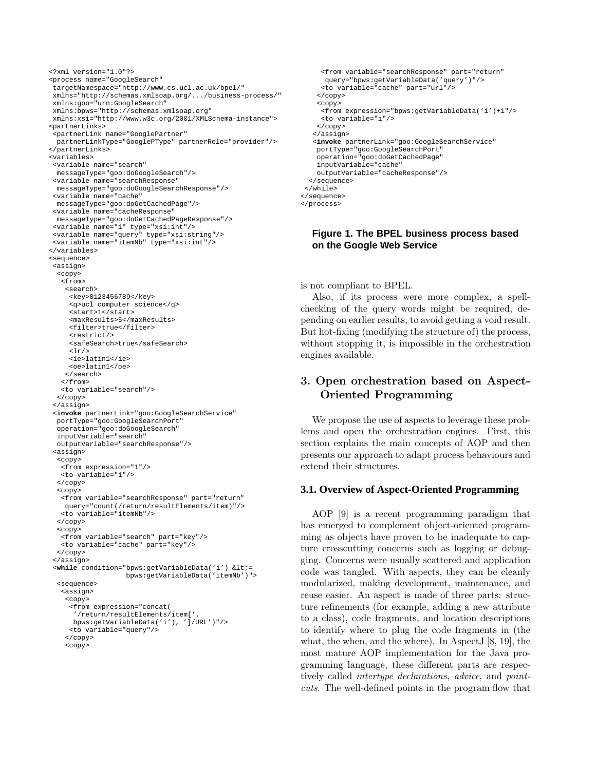```
<?xml version="1.0"?>
<process name="GoogleSearch"
 targetNamespace="http://www.cs.ucl.ac.uk/bpel/"
xmlns="http://schemas.xmlsoap.org/.../business-process/"
xmlns:goo="urn:GoogleSearch"
xmlns:bpws="http://schemas.xmlsoap.org"
xmlns:xsi="http://www.w3c.org/2001/XMLSchema-instance">
<partnerLinks>
 <partnerLink name="GooglePartner"
 partnerLinkType="GooglePType" partnerRole="provider"/>
</partnerLinks>
<variables>
<variable name="search"
 messageType="goo:doGoogleSearch"/>
<variable name="searchResponse"
 messageType="goo:doGoogleSearchResponse"/>
<variable name="cache"
 messageType="goo:doGetCachedPage"/>
<variable name="cacheResponse"
 messageType="goo:doGetCachedPageResponse"/>
 <variable name="i" type="xsi:int"/>
<variable name="query" type="xsi:string"/>
<variable name="itemNb" type="xsi:int"/>
</variables>
<sequence>
 <assign>
  <copy>
   <from>
    <search>
     <key>0123456789</key>
     <q>ucl computer science</q>
     <start>1</start>
     <maxResults>5</maxResults>
     <filter>true</filter>
     <restrict/>
     <safeSearch>true</safeSearch>
     \langlelr/><ie>latin1</ie>
     <oe>latin1</oe>
    </search>
   </from>
   <to variable="search"/>
  </copy>
 </assign>
 <invoke partnerLink="goo:GoogleSearchService"
 portType="goo:GoogleSearchPort"
 operation="goo:doGoogleSearch"
  inputVariable="search"
 outputVariable="searchResponse"/>
 <assign>
  <copy>
   <from expression="1"/>
   <to variable="i"/>
  </copy>
  <copy>
   <from variable="searchResponse" part="return"
   query="count(/return/resultElements/item)"/>
   <to variable="itemNb"/>
  </copy>
  <copy>
   <from variable="search" part="key"/>
   <to variable="cache" part="key"/>
  </copy>
 </assign>
 <while condition="bpws:getVariableData('i') <=
                   bpws:getVariableData('itemNb')">
  <sequence>
   <assign>
    <copy>
     <from expression="concat(
      '/return/resultElements/item[',
     bpws:getVariableData('i'), ']/URL')"/>
     <to variable="query"/>
    </copy>
    <copy>
```

```
<from variable="searchResponse" part="return"
     query="bpws:getVariableData('query')"/>
     <to variable="cache" part="url"/>
    </copy>
    <copy>
    <from expression="bpws:getVariableData('i')+1"/>
    <to variable="i"/>
    </copy>
   </assign>
   <invoke partnerLink="goo:GoogleSearchService"
   portType="goo:GoogleSearchPort"
   operation="goo:doGetCachedPage"
    inputVariable="cache"
   outputVariable="cacheResponse"/>
 </sequence>
</while>
</sequence>
```
## **Figure 1. The BPEL business process based on the Google Web Service**

is not compliant to BPEL.

</process>

Also, if its process were more complex, a spellchecking of the query words might be required, depending on earlier results, to avoid getting a void result. But hot-fixing (modifying the structure of) the process, without stopping it, is impossible in the orchestration engines available.

# 3. Open orchestration based on Aspect-Oriented Programming

We propose the use of aspects to leverage these problems and open the orchestration engines. First, this section explains the main concepts of AOP and then presents our approach to adapt process behaviours and extend their structures.

## **3.1. Overview of Aspect-Oriented Programming**

AOP [9] is a recent programming paradigm that has emerged to complement object-oriented programming as objects have proven to be inadequate to capture crosscutting concerns such as logging or debugging. Concerns were usually scattered and application code was tangled. With aspects, they can be cleanly modularized, making development, maintenance, and reuse easier. An aspect is made of three parts: structure refinements (for example, adding a new attribute to a class), code fragments, and location descriptions to identify where to plug the code fragments in (the what, the when, and the where). In AspectJ [8, 19], the most mature AOP implementation for the Java programming language, these different parts are respectively called intertype declarations, advice, and pointcuts. The well-defined points in the program flow that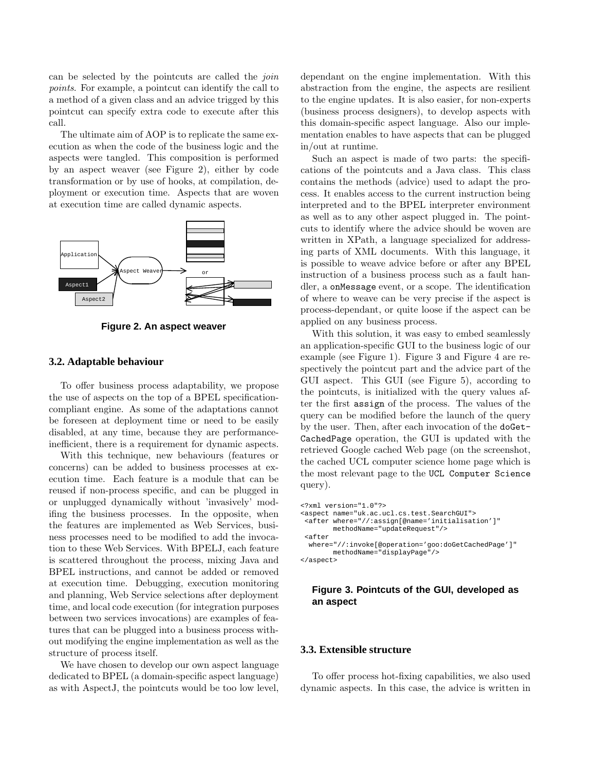can be selected by the pointcuts are called the join points. For example, a pointcut can identify the call to a method of a given class and an advice trigged by this pointcut can specify extra code to execute after this call.

The ultimate aim of AOP is to replicate the same execution as when the code of the business logic and the aspects were tangled. This composition is performed by an aspect weaver (see Figure 2), either by code transformation or by use of hooks, at compilation, deployment or execution time. Aspects that are woven at execution time are called dynamic aspects.



**Figure 2. An aspect weaver**

#### **3.2. Adaptable behaviour**

To offer business process adaptability, we propose the use of aspects on the top of a BPEL specificationcompliant engine. As some of the adaptations cannot be foreseen at deployment time or need to be easily disabled, at any time, because they are performanceinefficient, there is a requirement for dynamic aspects.

With this technique, new behaviours (features or concerns) can be added to business processes at execution time. Each feature is a module that can be reused if non-process specific, and can be plugged in or unplugged dynamically without 'invasively' modifing the business processes. In the opposite, when the features are implemented as Web Services, business processes need to be modified to add the invocation to these Web Services. With BPELJ, each feature is scattered throughout the process, mixing Java and BPEL instructions, and cannot be added or removed at execution time. Debugging, execution monitoring and planning, Web Service selections after deployment time, and local code execution (for integration purposes between two services invocations) are examples of features that can be plugged into a business process without modifying the engine implementation as well as the structure of process itself.

We have chosen to develop our own aspect language dedicated to BPEL (a domain-specific aspect language) as with AspectJ, the pointcuts would be too low level, dependant on the engine implementation. With this abstraction from the engine, the aspects are resilient to the engine updates. It is also easier, for non-experts (business process designers), to develop aspects with this domain-specific aspect language. Also our implementation enables to have aspects that can be plugged in/out at runtime.

Such an aspect is made of two parts: the specifications of the pointcuts and a Java class. This class contains the methods (advice) used to adapt the process. It enables access to the current instruction being interpreted and to the BPEL interpreter environment as well as to any other aspect plugged in. The pointcuts to identify where the advice should be woven are written in XPath, a language specialized for addressing parts of XML documents. With this language, it is possible to weave advice before or after any BPEL instruction of a business process such as a fault handler, a onMessage event, or a scope. The identification of where to weave can be very precise if the aspect is process-dependant, or quite loose if the aspect can be applied on any business process.

With this solution, it was easy to embed seamlessly an application-specific GUI to the business logic of our example (see Figure 1). Figure 3 and Figure 4 are respectively the pointcut part and the advice part of the GUI aspect. This GUI (see Figure 5), according to the pointcuts, is initialized with the query values after the first assign of the process. The values of the query can be modified before the launch of the query by the user. Then, after each invocation of the doGet-CachedPage operation, the GUI is updated with the retrieved Google cached Web page (on the screenshot, the cached UCL computer science home page which is the most relevant page to the UCL Computer Science query).

```
<?xml version="1.0"?>
<aspect name="uk.ac.ucl.cs.test.SearchGUI">
 <after where="//:assign[@name='initialisation']"
        methodName="updateRequest"/>
 <after
  where="//:invoke[@operation='goo:doGetCachedPage']"
       methodName="displayPage"/>
</aspect>
```
## **Figure 3. Pointcuts of the GUI, developed as an aspect**

#### **3.3. Extensible structure**

To offer process hot-fixing capabilities, we also used dynamic aspects. In this case, the advice is written in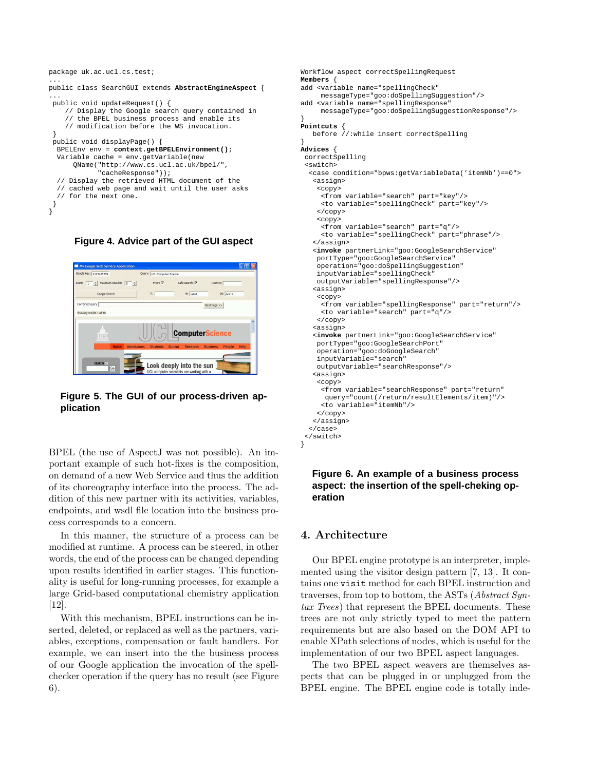

**Figure 4. Advice part of the GUI aspect**



**Figure 5. The GUI of our process-driven application**

BPEL (the use of AspectJ was not possible). An important example of such hot-fixes is the composition, on demand of a new Web Service and thus the addition of its choreography interface into the process. The addition of this new partner with its activities, variables, endpoints, and wsdl file location into the business process corresponds to a concern.

In this manner, the structure of a process can be modified at runtime. A process can be steered, in other words, the end of the process can be changed depending upon results identified in earlier stages. This functionality is useful for long-running processes, for example a large Grid-based computational chemistry application [12].

With this mechanism, BPEL instructions can be inserted, deleted, or replaced as well as the partners, variables, exceptions, compensation or fault handlers. For example, we can insert into the the business process of our Google application the invocation of the spellchecker operation if the query has no result (see Figure 6).

```
Workflow aspect correctSpellingRequest
Members {
add <variable name="spellingCheck"
     messageType="goo:doSpellingSuggestion"/>
add <variable name="spellingResponse
     messageType="goo:doSpellingSuggestionResponse"/>
}
Pointcuts {
  before //:while insert correctSpelling
}
Advices {
correctSpelling
 <switch>
  <case condition="bpws:getVariableData('itemNb')==0">
   <assign>
    <copy>
     <from variable="search" part="key"/>
     <to variable="spellingCheck" part="key"/>
    </copy>
    <copy>
     <from variable="search" part="q"/>
     <to variable="spellingCheck" part="phrase"/>
   </assign>
   <invoke partnerLink="goo:GoogleSearchService"
   portType="goo:GoogleSearchService"
    operation="goo:doSpellingSuggestion"
    inputVariable="spellingCheck"
    outputVariable="spellingResponse"/>
   <assign>
    <copy>
     <from variable="spellingResponse" part="return"/>
     <to variable="search" part="q"/>
    </copy>
   <assign>
   <invoke partnerLink="goo:GoogleSearchService"
   portType="goo:GoogleSearchPort"
    operation="goo:doGoogleSearch"
    inputVariable="search"
    outputVariable="searchResponse"/>
   <assign>
    <copy>
     <from variable="searchResponse" part="return"
     query="count(/return/resultElements/item)"/>
     <to variable="itemNb"/>
    </copy>
   </assign>
  </case>
 </switch>
}
```
## **Figure 6. An example of a business process aspect: the insertion of the spell-cheking operation**

# 4. Architecture

Our BPEL engine prototype is an interpreter, implemented using the visitor design pattern [7, 13]. It contains one visit method for each BPEL instruction and traverses, from top to bottom, the ASTs (Abstract Syntax Trees) that represent the BPEL documents. These trees are not only strictly typed to meet the pattern requirements but are also based on the DOM API to enable XPath selections of nodes, which is useful for the implementation of our two BPEL aspect languages.

The two BPEL aspect weavers are themselves aspects that can be plugged in or unplugged from the BPEL engine. The BPEL engine code is totally inde-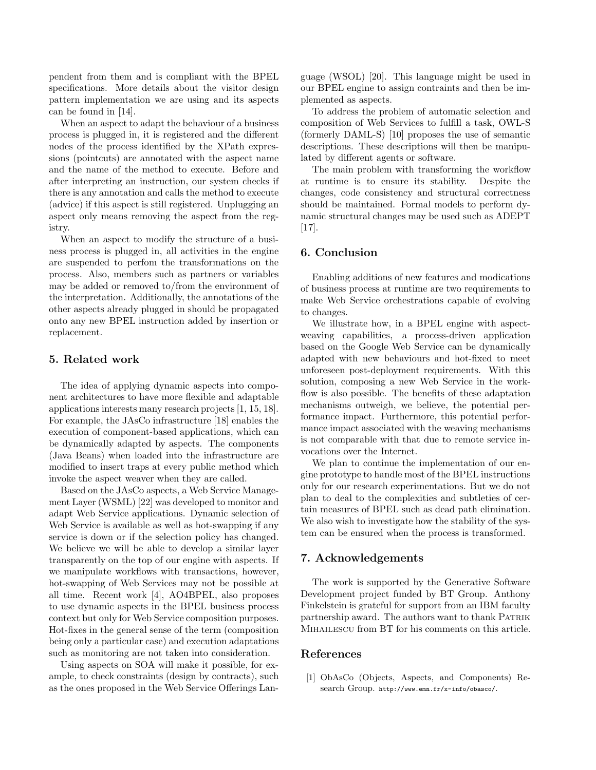pendent from them and is compliant with the BPEL specifications. More details about the visitor design pattern implementation we are using and its aspects can be found in [14].

When an aspect to adapt the behaviour of a business process is plugged in, it is registered and the different nodes of the process identified by the XPath expressions (pointcuts) are annotated with the aspect name and the name of the method to execute. Before and after interpreting an instruction, our system checks if there is any annotation and calls the method to execute (advice) if this aspect is still registered. Unplugging an aspect only means removing the aspect from the registry.

When an aspect to modify the structure of a business process is plugged in, all activities in the engine are suspended to perfom the transformations on the process. Also, members such as partners or variables may be added or removed to/from the environment of the interpretation. Additionally, the annotations of the other aspects already plugged in should be propagated onto any new BPEL instruction added by insertion or replacement.

## 5. Related work

The idea of applying dynamic aspects into component architectures to have more flexible and adaptable applications interests many research projects [1, 15, 18]. For example, the JAsCo infrastructure [18] enables the execution of component-based applications, which can be dynamically adapted by aspects. The components (Java Beans) when loaded into the infrastructure are modified to insert traps at every public method which invoke the aspect weaver when they are called.

Based on the JAsCo aspects, a Web Service Management Layer (WSML) [22] was developed to monitor and adapt Web Service applications. Dynamic selection of Web Service is available as well as hot-swapping if any service is down or if the selection policy has changed. We believe we will be able to develop a similar layer transparently on the top of our engine with aspects. If we manipulate workflows with transactions, however, hot-swapping of Web Services may not be possible at all time. Recent work [4], AO4BPEL, also proposes to use dynamic aspects in the BPEL business process context but only for Web Service composition purposes. Hot-fixes in the general sense of the term (composition being only a particular case) and execution adaptations such as monitoring are not taken into consideration.

Using aspects on SOA will make it possible, for example, to check constraints (design by contracts), such as the ones proposed in the Web Service Offerings Language (WSOL) [20]. This language might be used in our BPEL engine to assign contraints and then be implemented as aspects.

To address the problem of automatic selection and composition of Web Services to fulfill a task, OWL-S (formerly DAML-S) [10] proposes the use of semantic descriptions. These descriptions will then be manipulated by different agents or software.

The main problem with transforming the workflow at runtime is to ensure its stability. Despite the changes, code consistency and structural correctness should be maintained. Formal models to perform dynamic structural changes may be used such as ADEPT [17].

## 6. Conclusion

Enabling additions of new features and modications of business process at runtime are two requirements to make Web Service orchestrations capable of evolving to changes.

We illustrate how, in a BPEL engine with aspectweaving capabilities, a process-driven application based on the Google Web Service can be dynamically adapted with new behaviours and hot-fixed to meet unforeseen post-deployment requirements. With this solution, composing a new Web Service in the workflow is also possible. The benefits of these adaptation mechanisms outweigh, we believe, the potential performance impact. Furthermore, this potential performance impact associated with the weaving mechanisms is not comparable with that due to remote service invocations over the Internet.

We plan to continue the implementation of our engine prototype to handle most of the BPEL instructions only for our research experimentations. But we do not plan to deal to the complexities and subtleties of certain measures of BPEL such as dead path elimination. We also wish to investigate how the stability of the system can be ensured when the process is transformed.

## 7. Acknowledgements

The work is supported by the Generative Software Development project funded by BT Group. Anthony Finkelstein is grateful for support from an IBM faculty partnership award. The authors want to thank PATRIK Mihailescu from BT for his comments on this article.

#### References

[1] ObAsCo (Objects, Aspects, and Components) Research Group. http://www.emn.fr/x-info/obasco/.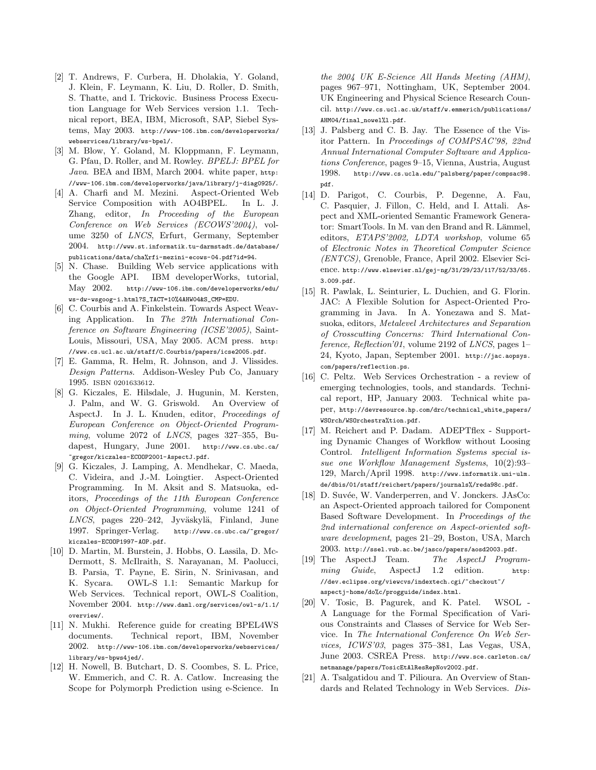- [2] T. Andrews, F. Curbera, H. Dholakia, Y. Goland, J. Klein, F. Leymann, K. Liu, D. Roller, D. Smith, S. Thatte, and I. Trickovic. Business Process Execution Language for Web Services version 1.1. Technical report, BEA, IBM, Microsoft, SAP, Siebel Systems, May 2003. http://www-106.ibm.com/developerworks/ webservices/library/ws-bpel/.
- [3] M. Blow, Y. Goland, M. Kloppmann, F. Leymann, G. Pfau, D. Roller, and M. Rowley. BPELJ: BPEL for Java. BEA and IBM, March 2004. white paper, http: //www-106.ibm.com/developerworks/java/library/j-diag0925/.
- [4] A. Charfi and M. Mezini. Aspect-Oriented Web Service Composition with AO4BPEL. In L. J. Zhang, editor, In Proceeding of the European Conference on Web Services (ECOWS'2004), volume 3250 of LNCS, Erfurt, Germany, September 2004. http://www.st.informatik.tu-darmstadt.de/database/ publications/data/cha%rfi-mezini-ecows-04.pdf?id=94.
- [5] N. Chase. Building Web service applications with the Google API. IBM developerWorks, tutorial, May 2002. http://www-106.ibm.com/developerworks/edu/ ws-dw-wsgoog-i.html?S\_TACT=10%4AHW04&S\_CMP=EDU.
- [6] C. Courbis and A. Finkelstein. Towards Aspect Weaving Application. In The 27th International Conference on Software Engineering (ICSE'2005), Saint-Louis, Missouri, USA, May 2005. ACM press. http: //www.cs.ucl.ac.uk/staff/C.Courbis/papers/icse2005.pdf.
- [7] E. Gamma, R. Helm, R. Johnson, and J. Vlissides. Design Patterns. Addison-Wesley Pub Co, January 1995. ISBN 0201633612.
- [8] G. Kiczales, E. Hilsdale, J. Hugunin, M. Kersten, J. Palm, and W. G. Griswold. An Overview of AspectJ. In J. L. Knuden, editor, Proceedings of European Conference on Object-Oriented Programming, volume 2072 of LNCS, pages 327–355, Budapest, Hungary, June 2001. http://www.cs.ubc.ca/ ~gregor/kiczales-ECOOP2001-AspectJ.pdf.
- [9] G. Kiczales, J. Lamping, A. Mendhekar, C. Maeda, C. Videira, and J.-M. Loingtier. Aspect-Oriented Programming. In M. Aksit and S. Matsuoka, editors, Proceedings of the 11th European Conference on Object-Oriented Programming, volume 1241 of  $LNCS$ , pages  $220-242$ , Jyväskylä, Finland, June 1997. Springer-Verlag. http://www.cs.ubc.ca/~gregor/ kiczales-ECOOP1997-AOP.pdf.
- [10] D. Martin, M. Burstein, J. Hobbs, O. Lassila, D. Mc-Dermott, S. McIlraith, S. Narayanan, M. Paolucci, B. Parsia, T. Payne, E. Sirin, N. Srinivasan, and K. Sycara. OWL-S 1.1: Semantic Markup for Web Services. Technical report, OWL-S Coalition, November 2004. http://www.daml.org/services/owl-s/1.1/ overview/.
- [11] N. Mukhi. Reference guide for creating BPEL4WS documents. Technical report, IBM, November 2002. http://www-106.ibm.com/developerworks/webservices/ library/ws-bpws4jed/.
- [12] H. Nowell, B. Butchart, D. S. Coombes, S. L. Price, W. Emmerich, and C. R. A. Catlow. Increasing the Scope for Polymorph Prediction using e-Science. In

the 2004 UK E-Science All Hands Meeting (AHM), pages 967–971, Nottingham, UK, September 2004. UK Engineering and Physical Science Research Council. http://www.cs.ucl.ac.uk/staff/w.emmerich/publications/ AHM04/final\_nowel%l.pdf.

- [13] J. Palsberg and C. B. Jay. The Essence of the Visitor Pattern. In Proceedings of COMPSAC'98, 22nd Annual International Computer Software and Applications Conference, pages 9–15, Vienna, Austria, August 1998. http://www.cs.ucla.edu/~palsberg/paper/compsac98. pdf.
- [14] D. Parigot, C. Courbis, P. Degenne, A. Fau, C. Pasquier, J. Fillon, C. Held, and I. Attali. Aspect and XML-oriented Semantic Framework Generator: SmartTools. In M. van den Brand and R. Lämmel, editors, ETAPS'2002, LDTA workshop, volume 65 of Electronic Notes in Theoretical Computer Science (ENTCS), Grenoble, France, April 2002. Elsevier Science. http://www.elsevier.nl/gej-ng/31/29/23/117/52/33/65. 3.009.pdf.
- [15] R. Pawlak, L. Seinturier, L. Duchien, and G. Florin. JAC: A Flexible Solution for Aspect-Oriented Programming in Java. In A. Yonezawa and S. Matsuoka, editors, Metalevel Architectures and Separation of Crosscutting Concerns: Third International Conference, Reflection'01, volume 2192 of LNCS, pages 1– 24, Kyoto, Japan, September 2001. http://jac.aopsys. com/papers/reflection.ps.
- [16] C. Peltz. Web Services Orchestration a review of emerging technologies, tools, and standards. Technical report, HP, January 2003. Technical white paper, http://devresource.hp.com/drc/technical\_white\_papers/ WSOrch/WSOrchestra%tion.pdf.
- [17] M. Reichert and P. Dadam. ADEPTflex Supporting Dynamic Changes of Workflow without Loosing Control. Intelligent Information Systems special issue one Workflow Management Systems, 10(2):93– 129, March/April 1998. http://www.informatik.uni-ulm. de/dbis/01/staff/reichert/papers/journals%/reda98c.pdf.
- [18] D. Suvée, W. Vanderperren, and V. Jonckers. JAsCo: an Aspect-Oriented approach tailored for Component Based Software Development. In Proceedings of the 2nd international conference on Aspect-oriented software development, pages 21–29, Boston, USA, March 2003. http://ssel.vub.ac.be/jasco/papers/aosd2003.pdf.
- [19] The AspectJ Team. The AspectJ Programming Guide, AspectJ 1.2 edition. http:  $// \verb"dev.eclipse.org/views/indextech.cgi/~checkout~/$ aspectj-home/do%c/progguide/index.html.
- [20] V. Tosic, B. Pagurek, and K. Patel. WSOL A Language for the Formal Specification of Various Constraints and Classes of Service for Web Service. In The International Conference On Web Services, ICWS'03, pages 375–381, Las Vegas, USA, June 2003. CSREA Press. http://www.sce.carleton.ca/ netmanage/papers/TosicEtAlResRepNov2002.pdf.
- [21] A. Tsalgatidou and T. Pilioura. An Overview of Standards and Related Technology in Web Services. Dis-